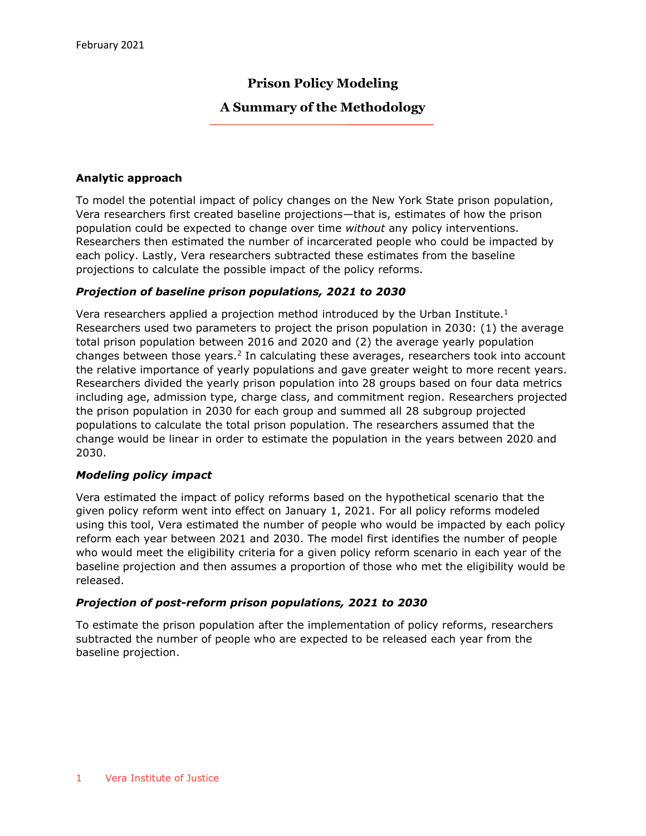# **Prison Policy Modeling**

# **A Summary of the Methodology**

### **Analytic approach**

To model the potential impact of policy changes on the New York State prison population, Vera researchers first created baseline projections—that is, estimates of how the prison population could be expected to change over time *without* any policy interventions. Researchers then estimated the number of incarcerated people who could be impacted by each policy. Lastly, Vera researchers subtracted these estimates from the baseline projections to calculate the possible impact of the policy reforms.

### *Projection of baseline prison populations, 2021 to 2030*

Vera researchers applied a projection method introduced by the Urban Institute.<sup>1</sup> Researchers used two parameters to project the prison population in 2030: (1) the average total prison population between 2016 and 2020 and (2) the average yearly population changes between those years.<sup>2</sup> In calculating these averages, researchers took into account the relative importance of yearly populations and gave greater weight to more recent years. Researchers divided the yearly prison population into 28 groups based on four data metrics including age, admission type, charge class, and commitment region. Researchers projected the prison population in 2030 for each group and summed all 28 subgroup projected populations to calculate the total prison population. The researchers assumed that the change would be linear in order to estimate the population in the years between 2020 and 2030.

## *Modeling policy impact*

Vera estimated the impact of policy reforms based on the hypothetical scenario that the given policy reform went into effect on January 1, 2021. For all policy reforms modeled using this tool, Vera estimated the number of people who would be impacted by each policy reform each year between 2021 and 2030. The model first identifies the number of people who would meet the eligibility criteria for a given policy reform scenario in each year of the baseline projection and then assumes a proportion of those who met the eligibility would be released.

#### *Projection of post-reform prison populations, 2021 to 2030*

To estimate the prison population after the implementation of policy reforms, researchers subtracted the number of people who are expected to be released each year from the baseline projection.